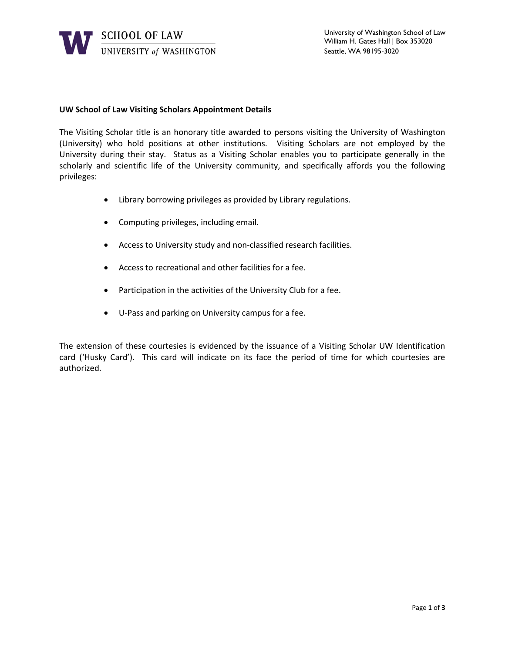

## **UW School of Law Visiting Scholars Appointment Details**

The Visiting Scholar title is an honorary title awarded to persons visiting the University of Washington (University) who hold positions at other institutions. Visiting Scholars are not employed by the University during their stay. Status as a Visiting Scholar enables you to participate generally in the scholarly and scientific life of the University community, and specifically affords you the following privileges:

- Library borrowing privileges as provided by Library regulations.
- Computing privileges, including email.
- Access to University study and non-classified research facilities.
- Access to recreational and other facilities for a fee.
- Participation in the activities of the University Club for a fee.
- U-Pass and parking on University campus for a fee.

The extension of these courtesies is evidenced by the issuance of a Visiting Scholar UW Identification card ('Husky Card'). This card will indicate on its face the period of time for which courtesies are authorized.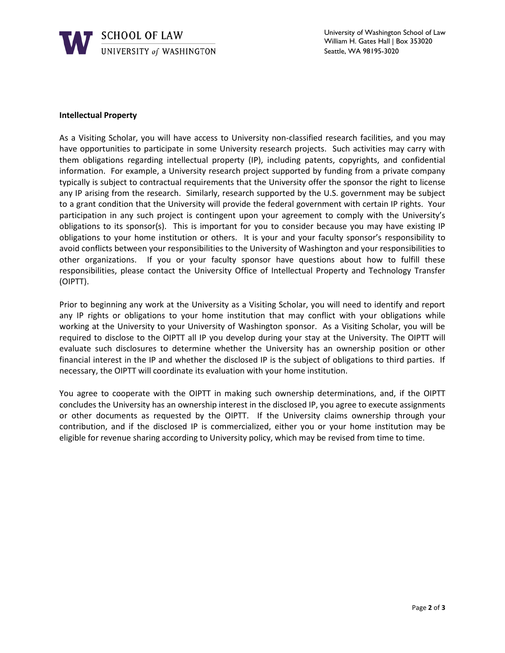

## **Intellectual Property**

As a Visiting Scholar, you will have access to University non-classified research facilities, and you may have opportunities to participate in some University research projects. Such activities may carry with them obligations regarding intellectual property (IP), including patents, copyrights, and confidential information. For example, a University research project supported by funding from a private company typically is subject to contractual requirements that the University offer the sponsor the right to license any IP arising from the research. Similarly, research supported by the U.S. government may be subject to a grant condition that the University will provide the federal government with certain IP rights. Your participation in any such project is contingent upon your agreement to comply with the University's obligations to its sponsor(s). This is important for you to consider because you may have existing IP obligations to your home institution or others. It is your and your faculty sponsor's responsibility to avoid conflicts between your responsibilities to the University of Washington and your responsibilities to other organizations. If you or your faculty sponsor have questions about how to fulfill these responsibilities, please contact the University Office of Intellectual Property and Technology Transfer (OIPTT).

Prior to beginning any work at the University as a Visiting Scholar, you will need to identify and report any IP rights or obligations to your home institution that may conflict with your obligations while working at the University to your University of Washington sponsor. As a Visiting Scholar, you will be required to disclose to the OIPTT all IP you develop during your stay at the University. The OIPTT will evaluate such disclosures to determine whether the University has an ownership position or other financial interest in the IP and whether the disclosed IP is the subject of obligations to third parties. If necessary, the OIPTT will coordinate its evaluation with your home institution.

You agree to cooperate with the OIPTT in making such ownership determinations, and, if the OIPTT concludes the University has an ownership interest in the disclosed IP, you agree to execute assignments or other documents as requested by the OIPTT. If the University claims ownership through your contribution, and if the disclosed IP is commercialized, either you or your home institution may be eligible for revenue sharing according to University policy, which may be revised from time to time.